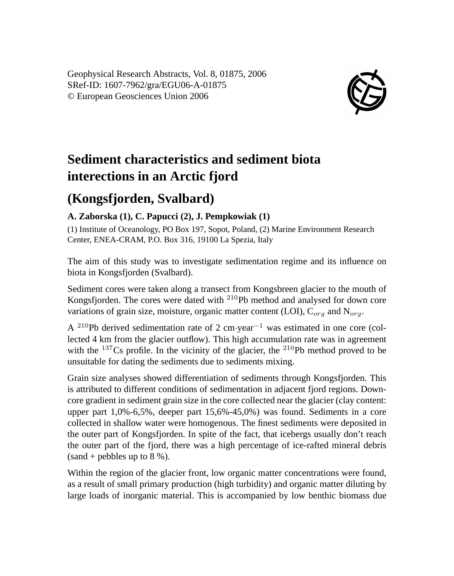Geophysical Research Abstracts, Vol. 8, 01875, 2006 SRef-ID: 1607-7962/gra/EGU06-A-01875 © European Geosciences Union 2006



## **Sediment characteristics and sediment biota interections in an Arctic fjord**

## **(Kongsfjorden, Svalbard)**

## **A. Zaborska (1), C. Papucci (2), J. Pempkowiak (1)**

(1) Institute of Oceanology, PO Box 197, Sopot, Poland, (2) Marine Environment Research Center, ENEA-CRAM, P.O. Box 316, 19100 La Spezia, Italy

The aim of this study was to investigate sedimentation regime and its influence on biota in Kongsfjorden (Svalbard).

Sediment cores were taken along a transect from Kongsbreen glacier to the mouth of Kongsfjorden. The cores were dated with <sup>210</sup>Pb method and analysed for down core variations of grain size, moisture, organic matter content (LOI),  $C_{org}$  and  $N_{org}$ .

A <sup>210</sup>Pb derived sedimentation rate of 2 cm⋅year<sup>-1</sup> was estimated in one core (collected 4 km from the glacier outflow). This high accumulation rate was in agreement with the  $137Cs$  profile. In the vicinity of the glacier, the  $210Pb$  method proved to be unsuitable for dating the sediments due to sediments mixing.

Grain size analyses showed differentiation of sediments through Kongsfjorden. This is attributed to different conditions of sedimentation in adjacent fjord regions. Downcore gradient in sediment grain size in the core collected near the glacier (clay content: upper part 1,0%-6,5%, deeper part 15,6%-45,0%) was found. Sediments in a core collected in shallow water were homogenous. The finest sediments were deposited in the outer part of Kongsfjorden. In spite of the fact, that icebergs usually don't reach the outer part of the fjord, there was a high percentage of ice-rafted mineral debris  $(sand + pebbles up to 8\%).$ 

Within the region of the glacier front, low organic matter concentrations were found, as a result of small primary production (high turbidity) and organic matter diluting by large loads of inorganic material. This is accompanied by low benthic biomass due